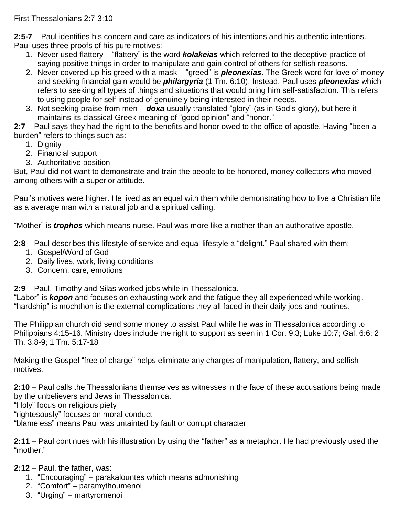First Thessalonians 2:7-3:10

**2:5-7** – Paul identifies his concern and care as indicators of his intentions and his authentic intentions. Paul uses three proofs of his pure motives:

- 1. Never used flattery "flattery" is the word *kolakeias* which referred to the deceptive practice of saying positive things in order to manipulate and gain control of others for selfish reasons.
- 2. Never covered up his greed with a mask "greed" is *pleonexias*. The Greek word for love of money and seeking financial gain would be *philargyria* (1 Tm. 6:10). Instead, Paul uses *pleonexias* which refers to seeking all types of things and situations that would bring him self-satisfaction. This refers to using people for self instead of genuinely being interested in their needs.
- 3. Not seeking praise from men *doxa* usually translated "glory" (as in God's glory), but here it maintains its classical Greek meaning of "good opinion" and "honor."

**2:7** – Paul says they had the right to the benefits and honor owed to the office of apostle. Having "been a burden" refers to things such as:

- 1. Dignity
- 2. Financial support
- 3. Authoritative position

But, Paul did not want to demonstrate and train the people to be honored, money collectors who moved among others with a superior attitude.

Paul's motives were higher. He lived as an equal with them while demonstrating how to live a Christian life as a average man with a natural job and a spiritual calling.

"Mother" is *trophos* which means nurse. Paul was more like a mother than an authorative apostle.

**2:8** – Paul describes this lifestyle of service and equal lifestyle a "delight." Paul shared with them:

- 1. Gospel/Word of God
- 2. Daily lives, work, living conditions
- 3. Concern, care, emotions

**2:9** – Paul, Timothy and Silas worked jobs while in Thessalonica.

"Labor" is *kopon* and focuses on exhausting work and the fatigue they all experienced while working. "hardship" is mochthon is the external complications they all faced in their daily jobs and routines.

The Philippian church did send some money to assist Paul while he was in Thessalonica according to Philippians 4:15-16. Ministry does include the right to support as seen in 1 Cor. 9:3; Luke 10:7; Gal. 6:6; 2 Th. 3:8-9; 1 Tm. 5:17-18

Making the Gospel "free of charge" helps eliminate any charges of manipulation, flattery, and selfish motives.

**2:10** – Paul calls the Thessalonians themselves as witnesses in the face of these accusations being made by the unbelievers and Jews in Thessalonica.

"Holy" focus on religious piety

"rightesously" focuses on moral conduct

"blameless" means Paul was untainted by fault or corrupt character

**2:11** – Paul continues with his illustration by using the "father" as a metaphor. He had previously used the "mother."

**2:12** – Paul, the father, was:

- 1. "Encouraging" parakalountes which means admonishing
- 2. "Comfort" paramythoumenoi
- 3. "Urging" martyromenoi